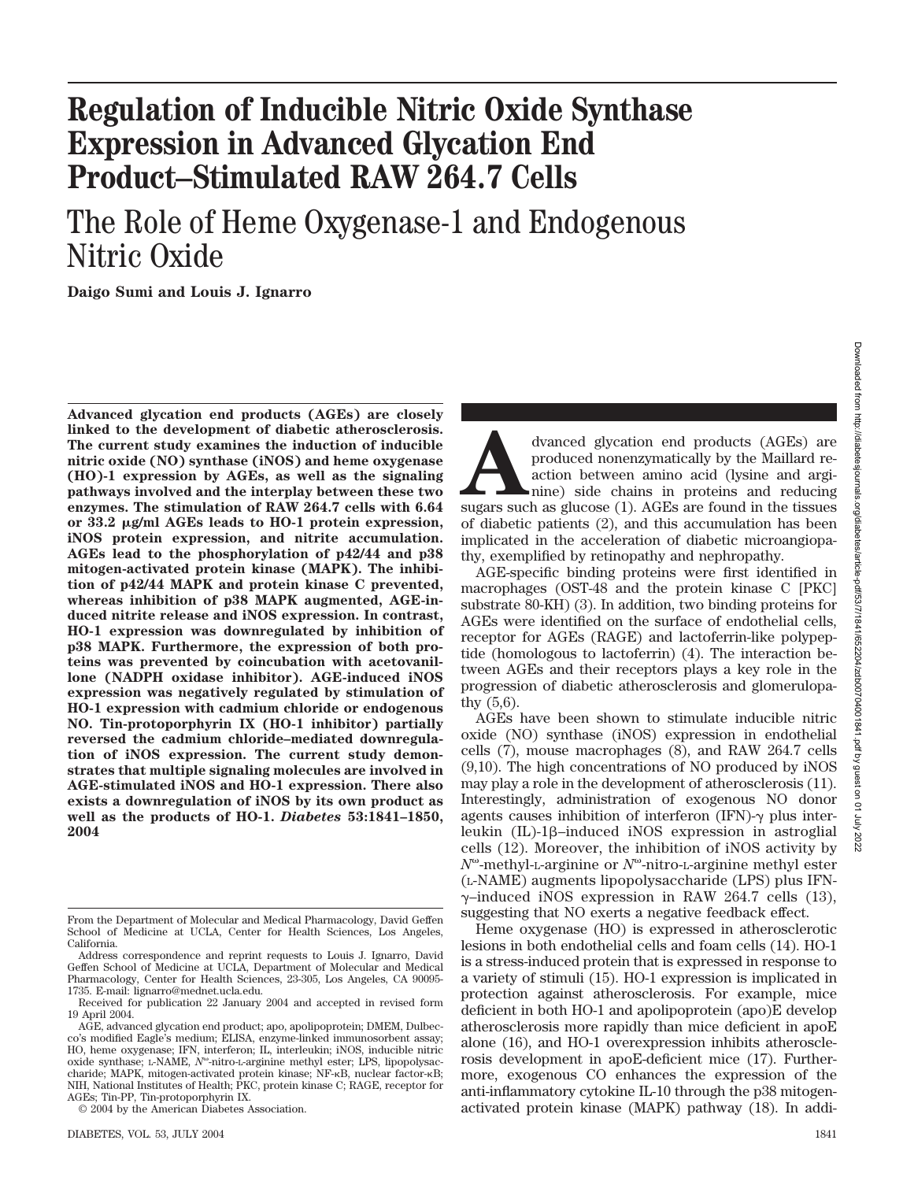γlυ 2022

# **Regulation of Inducible Nitric Oxide Synthase Expression in Advanced Glycation End Product–Stimulated RAW 264.7 Cells**

## The Role of Heme Oxygenase-1 and Endogenous Nitric Oxide

**Daigo Sumi and Louis J. Ignarro**

**Advanced glycation end products (AGEs) are closely linked to the development of diabetic atherosclerosis. The current study examines the induction of inducible nitric oxide (NO) synthase (iNOS) and heme oxygenase (HO)-1 expression by AGEs, as well as the signaling pathways involved and the interplay between these two enzymes. The stimulation of RAW 264.7 cells with 6.64 or 33.2 g/ml AGEs leads to HO-1 protein expression, iNOS protein expression, and nitrite accumulation. AGEs lead to the phosphorylation of p42/44 and p38 mitogen-activated protein kinase (MAPK). The inhibition of p42/44 MAPK and protein kinase C prevented, whereas inhibition of p38 MAPK augmented, AGE-induced nitrite release and iNOS expression. In contrast, HO-1 expression was downregulated by inhibition of p38 MAPK. Furthermore, the expression of both proteins was prevented by coincubation with acetovanillone (NADPH oxidase inhibitor). AGE-induced iNOS expression was negatively regulated by stimulation of HO-1 expression with cadmium chloride or endogenous NO. Tin-protoporphyrin IX (HO-1 inhibitor) partially reversed the cadmium chloride–mediated downregulation of iNOS expression. The current study demonstrates that multiple signaling molecules are involved in AGE-stimulated iNOS and HO-1 expression. There also exists a downregulation of iNOS by its own product as well as the products of HO-1.** *Diabetes* **53:1841–1850, 2004**

dvanced glycation end products (AGEs) are<br>produced nonenzymatically by the Maillard re-<br>action between amino acid (lysine and argi-<br>nine) side chains in proteins and reducing<br>sugars such as glucose (1). AGEs are found in t produced nonenzymatically by the Maillard reaction between amino acid (lysine and arginine) side chains in proteins and reducing of diabetic patients (2), and this accumulation has been implicated in the acceleration of diabetic microangiopathy, exemplified by retinopathy and nephropathy.

AGE-specific binding proteins were first identified in macrophages (OST-48 and the protein kinase C [PKC] substrate 80-KH) (3). In addition, two binding proteins for AGEs were identified on the surface of endothelial cells, receptor for AGEs (RAGE) and lactoferrin-like polypeptide (homologous to lactoferrin) (4). The interaction between AGEs and their receptors plays a key role in the progression of diabetic atherosclerosis and glomerulopathy (5,6).

AGEs have been shown to stimulate inducible nitric oxide (NO) synthase (iNOS) expression in endothelial cells (7), mouse macrophages (8), and RAW 264.7 cells (9,10). The high concentrations of NO produced by iNOS may play a role in the development of atherosclerosis (11). Interestingly, administration of exogenous NO donor agents causes inhibition of interferon  $(IFN)$ - $\gamma$  plus interleukin (IL)-1β-induced iNOS expression in astroglial cells (12). Moreover, the inhibition of iNOS activity by  $N^{\omega}$ -methyl-L-arginine or  $N^{\omega}$ -nitro-L-arginine methyl ester (L-NAME) augments lipopolysaccharide (LPS) plus IFN-  $\gamma$ -induced iNOS expression in RAW 264.7 cells (13), suggesting that NO exerts a negative feedback effect.

Heme oxygenase (HO) is expressed in atherosclerotic lesions in both endothelial cells and foam cells (14). HO-1 is a stress-induced protein that is expressed in response to a variety of stimuli (15). HO-1 expression is implicated in protection against atherosclerosis. For example, mice deficient in both HO-1 and apolipoprotein (apo)E develop atherosclerosis more rapidly than mice deficient in apoE alone (16), and HO-1 overexpression inhibits atherosclerosis development in apoE-deficient mice (17). Furthermore, exogenous CO enhances the expression of the anti-inflammatory cytokine IL-10 through the p38 mitogenactivated protein kinase (MAPK) pathway (18). In addi-

From the Department of Molecular and Medical Pharmacology, David Geffen School of Medicine at UCLA, Center for Health Sciences, Los Angeles, California.

Address correspondence and reprint requests to Louis J. Ignarro, David Geffen School of Medicine at UCLA, Department of Molecular and Medical Pharmacology, Center for Health Sciences, 23-305, Los Angeles, CA 90095- 1735. E-mail: lignarro@mednet.ucla.edu.

Received for publication 22 January 2004 and accepted in revised form 19 April 2004.

AGE, advanced glycation end product; apo, apolipoprotein; DMEM, Dulbecco's modified Eagle's medium; ELISA, enzyme-linked immunosorbent assay; HO, heme oxygenase; IFN, interferon; IL, interleukin; iNOS, inducible nitric oxide synthase; L-NAME,  $N^{\omega}$ -nitro-L-arginine methyl ester; LPS, lipopolysaccharide; MAPK, mitogen-activated protein kinase; NF-kB, nuclear factor-kB; NIH, National Institutes of Health; PKC, protein kinase C; RAGE, receptor for AGEs; Tin-PP, Tin-protoporphyrin IX.

<sup>© 2004</sup> by the American Diabetes Association.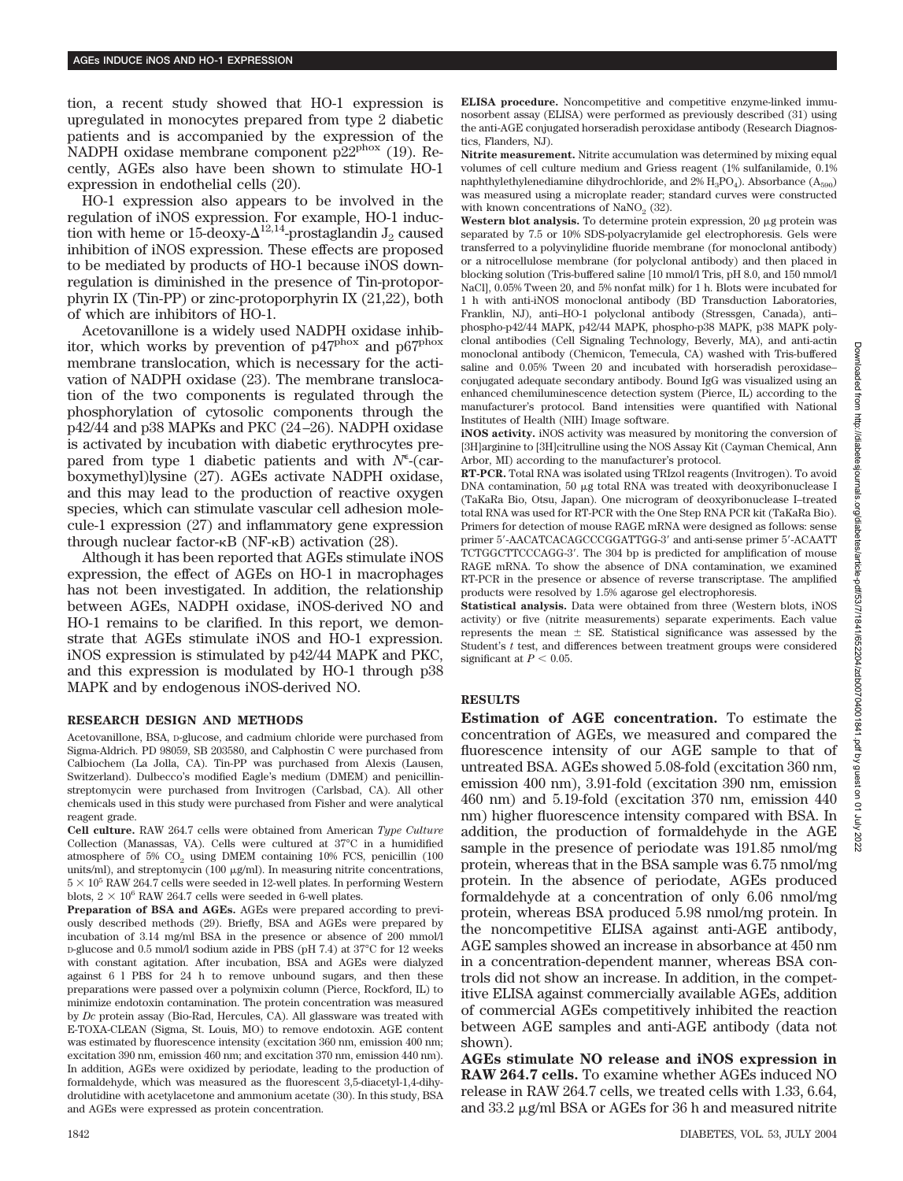tion, a recent study showed that HO-1 expression is upregulated in monocytes prepared from type 2 diabetic patients and is accompanied by the expression of the NADPH oxidase membrane component p22phox (19). Recently, AGEs also have been shown to stimulate HO-1 expression in endothelial cells (20).

HO-1 expression also appears to be involved in the regulation of iNOS expression. For example, HO-1 induction with heme or 15-deoxy- $\Delta^{12,14}$ -prostaglandin J<sub>2</sub> caused inhibition of iNOS expression. These effects are proposed to be mediated by products of HO-1 because iNOS downregulation is diminished in the presence of Tin-protoporphyrin IX (Tin-PP) or zinc-protoporphyrin IX (21,22), both of which are inhibitors of HO-1.

Acetovanillone is a widely used NADPH oxidase inhibitor, which works by prevention of p47phox and p67phox membrane translocation, which is necessary for the activation of NADPH oxidase (23). The membrane translocation of the two components is regulated through the phosphorylation of cytosolic components through the p42/44 and p38 MAPKs and PKC (24–26). NADPH oxidase is activated by incubation with diabetic erythrocytes prepared from type 1 diabetic patients and with  $N^{\epsilon}$ -(carboxymethyl)lysine (27). AGEs activate NADPH oxidase, and this may lead to the production of reactive oxygen species, which can stimulate vascular cell adhesion molecule-1 expression (27) and inflammatory gene expression through nuclear factor- $\kappa$ B (NF- $\kappa$ B) activation (28).

Although it has been reported that AGEs stimulate iNOS expression, the effect of AGEs on HO-1 in macrophages has not been investigated. In addition, the relationship between AGEs, NADPH oxidase, iNOS-derived NO and HO-1 remains to be clarified. In this report, we demonstrate that AGEs stimulate iNOS and HO-1 expression. iNOS expression is stimulated by p42/44 MAPK and PKC, and this expression is modulated by HO-1 through p38 MAPK and by endogenous iNOS-derived NO.

#### **RESEARCH DESIGN AND METHODS**

Acetovanillone, BSA, D-glucose, and cadmium chloride were purchased from Sigma-Aldrich. PD 98059, SB 203580, and Calphostin C were purchased from Calbiochem (La Jolla, CA). Tin-PP was purchased from Alexis (Lausen, Switzerland). Dulbecco's modified Eagle's medium (DMEM) and penicillinstreptomycin were purchased from Invitrogen (Carlsbad, CA). All other chemicals used in this study were purchased from Fisher and were analytical reagent grade.

**Cell culture.** RAW 264.7 cells were obtained from American *Type Culture* Collection (Manassas, VA). Cells were cultured at 37°C in a humidified atmosphere of 5% CO<sub>2</sub> using DMEM containing 10% FCS, penicillin (100) units/ml), and streptomycin (100  $\mu$ g/ml). In measuring nitrite concentrations,  $5 \times 10^5$  RAW 264.7 cells were seeded in 12-well plates. In performing Western blots,  $2 \times 10^6$  RAW 264.7 cells were seeded in 6-well plates.

**Preparation of BSA and AGEs.** AGEs were prepared according to previously described methods (29). Briefly, BSA and AGEs were prepared by incubation of 3.14 mg/ml BSA in the presence or absence of 200 mmol/l D-glucose and 0.5 mmol/l sodium azide in PBS (pH 7.4) at 37°C for 12 weeks with constant agitation. After incubation, BSA and AGEs were dialyzed against 6 l PBS for 24 h to remove unbound sugars, and then these preparations were passed over a polymixin column (Pierce, Rockford, IL) to minimize endotoxin contamination. The protein concentration was measured by *Dc* protein assay (Bio-Rad, Hercules, CA). All glassware was treated with E-TOXA-CLEAN (Sigma, St. Louis, MO) to remove endotoxin. AGE content was estimated by fluorescence intensity (excitation 360 nm, emission 400 nm; excitation 390 nm, emission 460 nm; and excitation 370 nm, emission 440 nm). In addition, AGEs were oxidized by periodate, leading to the production of formaldehyde, which was measured as the fluorescent 3,5-diacetyl-1,4-dihydrolutidine with acetylacetone and ammonium acetate (30). In this study, BSA and AGEs were expressed as protein concentration.

**ELISA procedure.** Noncompetitive and competitive enzyme-linked immunosorbent assay (ELISA) were performed as previously described (31) using the anti-AGE conjugated horseradish peroxidase antibody (Research Diagnostics, Flanders, NJ).

**Nitrite measurement.** Nitrite accumulation was determined by mixing equal volumes of cell culture medium and Griess reagent (1% sulfanilamide, 0.1% naphthylethylenediamine dihydrochloride, and  $2\%$  H<sub>3</sub>PO<sub>4</sub>). Absorbance (A<sub>590</sub>) was measured using a microplate reader; standard curves were constructed with known concentrations of  $\text{NaNO}_2$  (32).

**Western blot analysis.** To determine protein expression,  $20 \mu$ g protein was separated by 7.5 or 10% SDS-polyacrylamide gel electrophoresis. Gels were transferred to a polyvinylidine fluoride membrane (for monoclonal antibody) or a nitrocellulose membrane (for polyclonal antibody) and then placed in blocking solution (Tris-buffered saline [10 mmol/l Tris, pH 8.0, and 150 mmol/l NaCl], 0.05% Tween 20, and 5% nonfat milk) for 1 h. Blots were incubated for 1 h with anti-iNOS monoclonal antibody (BD Transduction Laboratories, Franklin, NJ), anti–HO-1 polyclonal antibody (Stressgen, Canada), anti– phospho-p42/44 MAPK, p42/44 MAPK, phospho-p38 MAPK, p38 MAPK polyclonal antibodies (Cell Signaling Technology, Beverly, MA), and anti-actin monoclonal antibody (Chemicon, Temecula, CA) washed with Tris-buffered saline and 0.05% Tween 20 and incubated with horseradish peroxidase– conjugated adequate secondary antibody. Bound IgG was visualized using an enhanced chemiluminescence detection system (Pierce, IL) according to the manufacturer's protocol. Band intensities were quantified with National Institutes of Health (NIH) Image software.

**iNOS activity.** iNOS activity was measured by monitoring the conversion of [3H]arginine to [3H]citrulline using the NOS Assay Kit (Cayman Chemical, Ann Arbor, MI) according to the manufacturer's protocol.

**RT-PCR.** Total RNA was isolated using TRIzol reagents (Invitrogen). To avoid DNA contamination, 50  $\mu$ g total RNA was treated with deoxyribonuclease I (TaKaRa Bio, Otsu, Japan). One microgram of deoxyribonuclease I–treated total RNA was used for RT-PCR with the One Step RNA PCR kit (TaKaRa Bio). Primers for detection of mouse RAGE mRNA were designed as follows: sense primer 5'-AACATCACAGCCCGGATTGG-3' and anti-sense primer 5'-ACAATT TCTGGCTTCCCAGG-3 . The 304 bp is predicted for amplification of mouse RAGE mRNA. To show the absence of DNA contamination, we examined RT-PCR in the presence or absence of reverse transcriptase. The amplified products were resolved by 1.5% agarose gel electrophoresis.

**Statistical analysis.** Data were obtained from three (Western blots, iNOS activity) or five (nitrite measurements) separate experiments. Each value represents the mean  $\pm$  SE. Statistical significance was assessed by the Student's *t* test, and differences between treatment groups were considered significant at  $P < 0.05$ .

## **RESULTS**

**Estimation of AGE concentration.** To estimate the concentration of AGEs, we measured and compared the fluorescence intensity of our AGE sample to that of untreated BSA. AGEs showed 5.08-fold (excitation 360 nm, emission 400 nm), 3.91-fold (excitation 390 nm, emission 460 nm) and 5.19-fold (excitation 370 nm, emission 440 nm) higher fluorescence intensity compared with BSA. In addition, the production of formaldehyde in the AGE sample in the presence of periodate was 191.85 nmol/mg protein, whereas that in the BSA sample was 6.75 nmol/mg protein. In the absence of periodate, AGEs produced formaldehyde at a concentration of only 6.06 nmol/mg protein, whereas BSA produced 5.98 nmol/mg protein. In the noncompetitive ELISA against anti-AGE antibody, AGE samples showed an increase in absorbance at 450 nm in a concentration-dependent manner, whereas BSA controls did not show an increase. In addition, in the competitive ELISA against commercially available AGEs, addition of commercial AGEs competitively inhibited the reaction between AGE samples and anti-AGE antibody (data not shown).

**AGEs stimulate NO release and iNOS expression in RAW 264.7 cells.** To examine whether AGEs induced NO release in RAW 264.7 cells, we treated cells with 1.33, 6.64, and  $33.2 \mu$ g/ml BSA or AGEs for 36 h and measured nitrite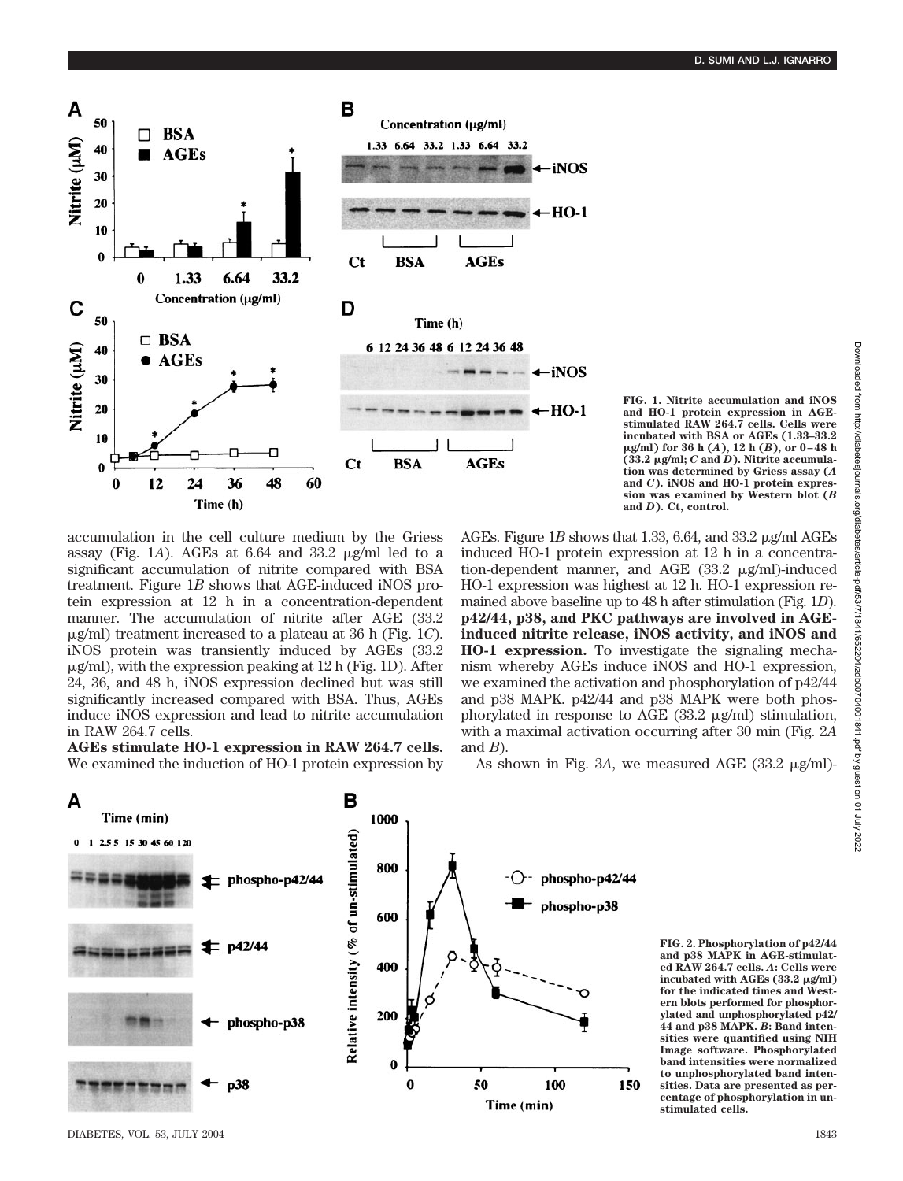

**FIG. 1. Nitrite accumulation and iNOS and HO-1 protein expression in AGEstimulated RAW 264.7 cells. Cells were incubated with BSA or AGEs (1.33–33.2 g/ml) for 36 h (***A***), 12 h (***B***), or 0–48 h**  $(33.2 \mu g/ml; C \text{ and } D)$ . Nitrite accumula**tion was determined by Griess assay (***A* **and** *C***). iNOS and HO-1 protein expression was examined by Western blot (***B* **and** *D***). Ct, control.**

accumulation in the cell culture medium by the Griess assay (Fig. 1A). AGEs at  $6.64$  and  $33.2 \mu$ g/ml led to a significant accumulation of nitrite compared with BSA treatment. Figure 1*B* shows that AGE-induced iNOS protein expression at 12 h in a concentration-dependent manner. The accumulation of nitrite after AGE (33.2 g/ml) treatment increased to a plateau at 36 h (Fig. 1*C*). iNOS protein was transiently induced by AGEs (33.2  $\mu$ g/ml), with the expression peaking at 12 h (Fig. 1D). After 24, 36, and 48 h, iNOS expression declined but was still significantly increased compared with BSA. Thus, AGEs induce iNOS expression and lead to nitrite accumulation in RAW 264.7 cells.

**AGEs stimulate HO-1 expression in RAW 264.7 cells.** We examined the induction of HO-1 protein expression by AGEs. Figure 1*B* shows that 1.33, 6.64, and 33.2  $\mu$ g/ml AGEs induced HO-1 protein expression at 12 h in a concentration-dependent manner, and AGE  $(33.2 \mu g/ml)$ -induced HO-1 expression was highest at 12 h. HO-1 expression remained above baseline up to 48 h after stimulation (Fig. 1*D*). **p42/44, p38, and PKC pathways are involved in AGEinduced nitrite release, iNOS activity, and iNOS and HO-1 expression.** To investigate the signaling mechanism whereby AGEs induce iNOS and HO-1 expression, we examined the activation and phosphorylation of p42/44 and p38 MAPK. p42/44 and p38 MAPK were both phosphorylated in response to AGE (33.2  $\mu$ g/ml) stimulation, with a maximal activation occurring after 30 min (Fig. 2*A* and *B*).

As shown in Fig. 3A, we measured AGE  $(33.2 \text{ µg/ml})$ -



**FIG. 2. Phosphorylation of p42/44 and p38 MAPK in AGE-stimulated RAW 264.7 cells.** *A***: Cells were incubated with AGEs (33.2 g/ml) for the indicated times and Western blots performed for phosphorylated and unphosphorylated p42/ 44 and p38 MAPK.** *B***: Band intensities were quantified using NIH Image software. Phosphorylated band intensities were normalized to unphosphorylated band intensities. Data are presented as percentage of phosphorylation in unstimulated cells.**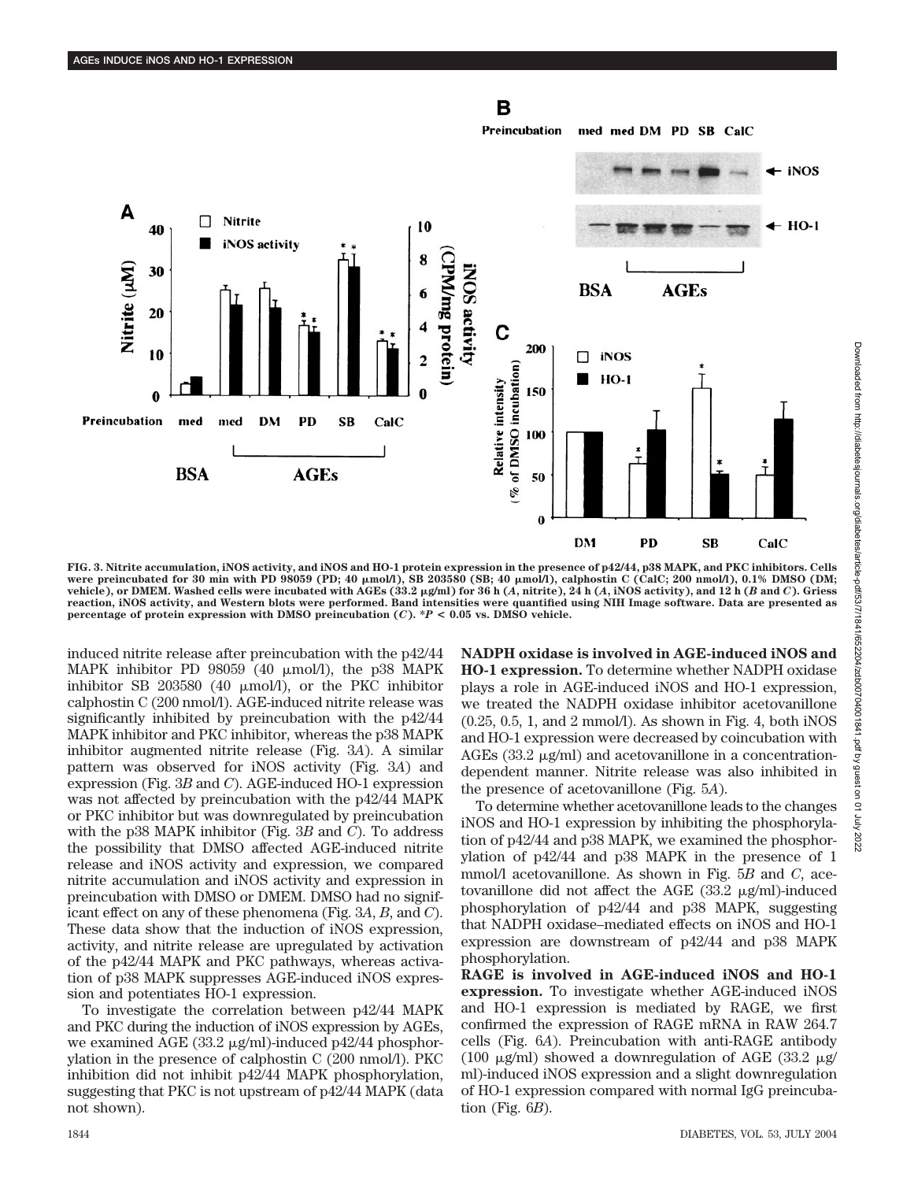## в

Preincubation med med DM PD SB CalC



**FIG. 3. Nitrite accumulation, iNOS activity, and iNOS and HO-1 protein expression in the presence of p42/44, p38 MAPK, and PKC inhibitors. Cells were preincubated for 30 min with PD 98059 (PD; 40 mol/l), SB 203580 (SB; 40 mol/l), calphostin C (CalC; 200 nmol/l), 0.1% DMSO (DM; vehicle), or DMEM. Washed cells were incubated with AGEs (33.2 g/ml) for 36 h (***A***, nitrite), 24 h (***A***, iNOS activity), and 12 h (***B* **and** *C***). Griess reaction, iNOS activity, and Western blots were performed. Band intensities were quantified using NIH Image software. Data are presented as percentage of protein expression with DMSO preincubation (***C***). \****P* **< 0.05 vs. DMSO vehicle.**

induced nitrite release after preincubation with the p42/44 MAPK inhibitor PD 98059 (40  $\mu$ mol/l), the p38 MAPK inhibitor SB 203580 (40  $\mu$ mol/l), or the PKC inhibitor calphostin C (200 nmol/l). AGE-induced nitrite release was significantly inhibited by preincubation with the p42/44 MAPK inhibitor and PKC inhibitor, whereas the p38 MAPK inhibitor augmented nitrite release (Fig. 3*A*). A similar pattern was observed for iNOS activity (Fig. 3*A*) and expression (Fig. 3*B* and *C*). AGE-induced HO-1 expression was not affected by preincubation with the p42/44 MAPK or PKC inhibitor but was downregulated by preincubation with the p38 MAPK inhibitor (Fig. 3*B* and *C*). To address the possibility that DMSO affected AGE-induced nitrite release and iNOS activity and expression, we compared nitrite accumulation and iNOS activity and expression in preincubation with DMSO or DMEM. DMSO had no significant effect on any of these phenomena (Fig. 3*A*, *B*, and *C*). These data show that the induction of iNOS expression, activity, and nitrite release are upregulated by activation of the p42/44 MAPK and PKC pathways, whereas activation of p38 MAPK suppresses AGE-induced iNOS expression and potentiates HO-1 expression.

To investigate the correlation between p42/44 MAPK and PKC during the induction of iNOS expression by AGEs, we examined AGE  $(33.2 \mu g/ml)$ -induced p42/44 phosphorylation in the presence of calphostin C (200 nmol/l). PKC inhibition did not inhibit p42/44 MAPK phosphorylation, suggesting that PKC is not upstream of p42/44 MAPK (data not shown).

**NADPH oxidase is involved in AGE-induced iNOS and HO-1 expression.** To determine whether NADPH oxidase plays a role in AGE-induced iNOS and HO-1 expression, we treated the NADPH oxidase inhibitor acetovanillone  $(0.25, 0.5, 1, \text{ and } 2 \text{ mmol/l})$ . As shown in Fig. 4, both iNOS and HO-1 expression were decreased by coincubation with AGEs (33.2  $\mu$ g/ml) and acetovanillone in a concentrationdependent manner. Nitrite release was also inhibited in the presence of acetovanillone (Fig. 5*A*).

To determine whether acetovanillone leads to the changes iNOS and HO-1 expression by inhibiting the phosphorylation of p42/44 and p38 MAPK, we examined the phosphorylation of p42/44 and p38 MAPK in the presence of 1 mmol/l acetovanillone. As shown in Fig. 5*B* and *C*, acetovanillone did not affect the AGE  $(33.2 \mu g/ml)$ -induced phosphorylation of p42/44 and p38 MAPK, suggesting that NADPH oxidase–mediated effects on iNOS and HO-1 expression are downstream of p42/44 and p38 MAPK phosphorylation.

**RAGE is involved in AGE-induced iNOS and HO-1 expression.** To investigate whether AGE-induced iNOS and HO-1 expression is mediated by RAGE, we first confirmed the expression of RAGE mRNA in RAW 264.7 cells (Fig. 6*A*). Preincubation with anti-RAGE antibody (100  $\mu$ g/ml) showed a downregulation of AGE (33.2  $\mu$ g/ ml)-induced iNOS expression and a slight downregulation of HO-1 expression compared with normal IgG preincubation (Fig. 6*B*).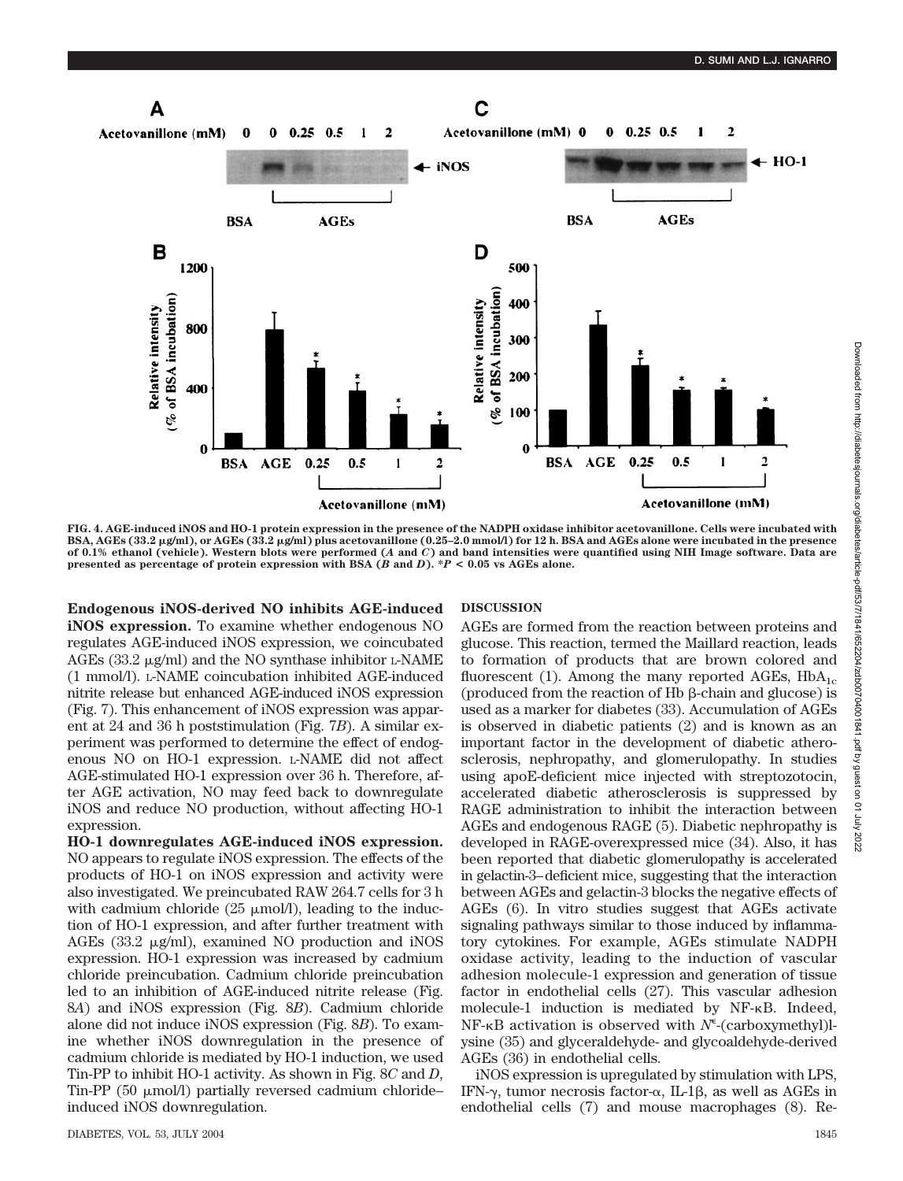

**FIG. 4. AGE-induced iNOS and HO-1 protein expression in the presence of the NADPH oxidase inhibitor acetovanillone. Cells were incubated with BSA, AGEs (33.2 g/ml), or AGEs (33.2 g/ml) plus acetovanillone (0.25–2.0 mmol/l) for 12 h. BSA and AGEs alone were incubated in the presence of 0.1% ethanol (vehicle). Western blots were performed (***A* **and** *C***) and band intensities were quantified using NIH Image software. Data are presented as percentage of protein expression with BSA (***B* **and** *D***). \****P* **< 0.05 vs AGEs alone.**

**Endogenous iNOS-derived NO inhibits AGE-induced iNOS expression.** To examine whether endogenous NO regulates AGE-induced iNOS expression, we coincubated AGEs  $(33.2 \mu g/ml)$  and the NO synthase inhibitor L-NAME (1 mmol/l). L-NAME coincubation inhibited AGE-induced nitrite release but enhanced AGE-induced iNOS expression (Fig. 7). This enhancement of iNOS expression was apparent at 24 and 36 h poststimulation (Fig. 7*B*). A similar experiment was performed to determine the effect of endogenous NO on HO-1 expression. L-NAME did not affect AGE-stimulated HO-1 expression over 36 h. Therefore, after AGE activation, NO may feed back to downregulate iNOS and reduce NO production, without affecting HO-1 expression.

**HO-1 downregulates AGE-induced iNOS expression.** NO appears to regulate iNOS expression. The effects of the products of HO-1 on iNOS expression and activity were also investigated. We preincubated RAW 264.7 cells for 3 h with cadmium chloride  $(25 \mu \text{mol/l})$ , leading to the induction of HO-1 expression, and after further treatment with AGEs  $(33.2 \mu g/ml)$ , examined NO production and iNOS expression. HO-1 expression was increased by cadmium chloride preincubation. Cadmium chloride preincubation led to an inhibition of AGE-induced nitrite release (Fig. 8*A*) and iNOS expression (Fig. 8*B*). Cadmium chloride alone did not induce iNOS expression (Fig. 8*B*). To examine whether iNOS downregulation in the presence of cadmium chloride is mediated by HO-1 induction, we used Tin-PP to inhibit HO-1 activity. As shown in Fig. 8*C* and *D*, Tin-PP (50  $\mu$ mol/l) partially reversed cadmium chloride– induced iNOS downregulation.

## **DISCUSSION**

AGEs are formed from the reaction between proteins and glucose. This reaction, termed the Maillard reaction, leads to formation of products that are brown colored and fluorescent (1). Among the many reported AGEs,  $HbA_{1c}$ (produced from the reaction of Hb  $\beta$ -chain and glucose) is used as a marker for diabetes (33). Accumulation of AGEs is observed in diabetic patients (2) and is known as an important factor in the development of diabetic atherosclerosis, nephropathy, and glomerulopathy. In studies using apoE-deficient mice injected with streptozotocin, accelerated diabetic atherosclerosis is suppressed by RAGE administration to inhibit the interaction between AGEs and endogenous RAGE (5). Diabetic nephropathy is developed in RAGE-overexpressed mice (34). Also, it has been reported that diabetic glomerulopathy is accelerated in gelactin-3–deficient mice, suggesting that the interaction between AGEs and gelactin-3 blocks the negative effects of AGEs (6). In vitro studies suggest that AGEs activate signaling pathways similar to those induced by inflammatory cytokines. For example, AGEs stimulate NADPH oxidase activity, leading to the induction of vascular adhesion molecule-1 expression and generation of tissue factor in endothelial cells (27). This vascular adhesion molecule-1 induction is mediated by  $NF-\kappa B$ . Indeed, NF-<sub>K</sub>B activation is observed with  $N^{\epsilon}$ -(carboxymethyl)lysine (35) and glyceraldehyde- and glycoaldehyde-derived AGEs (36) in endothelial cells.

iNOS expression is upregulated by stimulation with LPS, IFN- $\gamma$ , tumor necrosis factor- $\alpha$ , IL-1 $\beta$ , as well as AGEs in endothelial cells (7) and mouse macrophages (8). Re-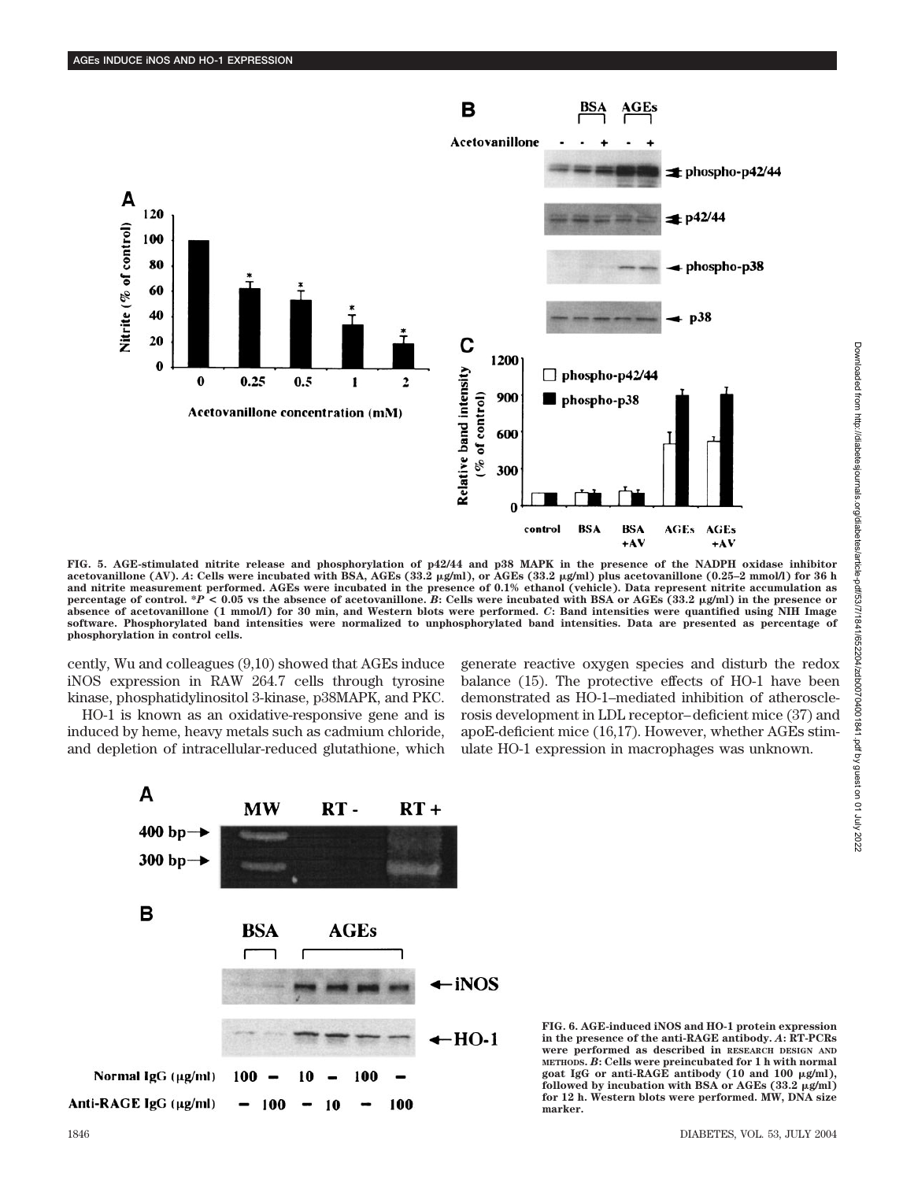

FIG. 5. AGE-stimulated nitrite release and phosphorylation of p42/44 and p38 MAPK in the presence of the NADPH oxidase inhibitor<br>acetovanillone (AV). A: Cells were incubated with BSA, AGEs (33.2 µg/ml), or AGEs (33.2 µg/ml **and nitrite measurement performed. AGEs were incubated in the presence of 0.1% ethanol (vehicle). Data represent nitrite accumulation as percentage of control. \****P* **< 0.05 vs the absence of acetovanillone.** *B***: Cells were incubated with BSA or AGEs (33.2 g/ml) in the presence or absence of acetovanillone (1 mmol/l) for 30 min, and Western blots were performed.** *C***: Band intensities were quantified using NIH Image software. Phosphorylated band intensities were normalized to unphosphorylated band intensities. Data are presented as percentage of phosphorylation in control cells.**

cently, Wu and colleagues (9,10) showed that AGEs induce iNOS expression in RAW 264.7 cells through tyrosine kinase, phosphatidylinositol 3-kinase, p38MAPK, and PKC.

HO-1 is known as an oxidative-responsive gene and is induced by heme, heavy metals such as cadmium chloride, and depletion of intracellular-reduced glutathione, which generate reactive oxygen species and disturb the redox balance (15). The protective effects of HO-1 have been demonstrated as HO-1–mediated inhibition of atherosclerosis development in LDL receptor–deficient mice (37) and apoE-deficient mice (16,17). However, whether AGEs stimulate HO-1 expression in macrophages was unknown.



**FIG. 6. AGE-induced iNOS and HO-1 protein expression in the presence of the anti-RAGE antibody.** *A***: RT-PCRs were performed as described in RESEARCH DESIGN AND METHODS.** *B***: Cells were preincubated for 1 h with normal** goat IgG or anti-RAGE antibody (10 and 100  $\mu$ g/ml), followed by incubation with BSA or AGEs (33.2  $\mu$ g/ml) **for 12 h. Western blots were performed. MW, DNA size marker.**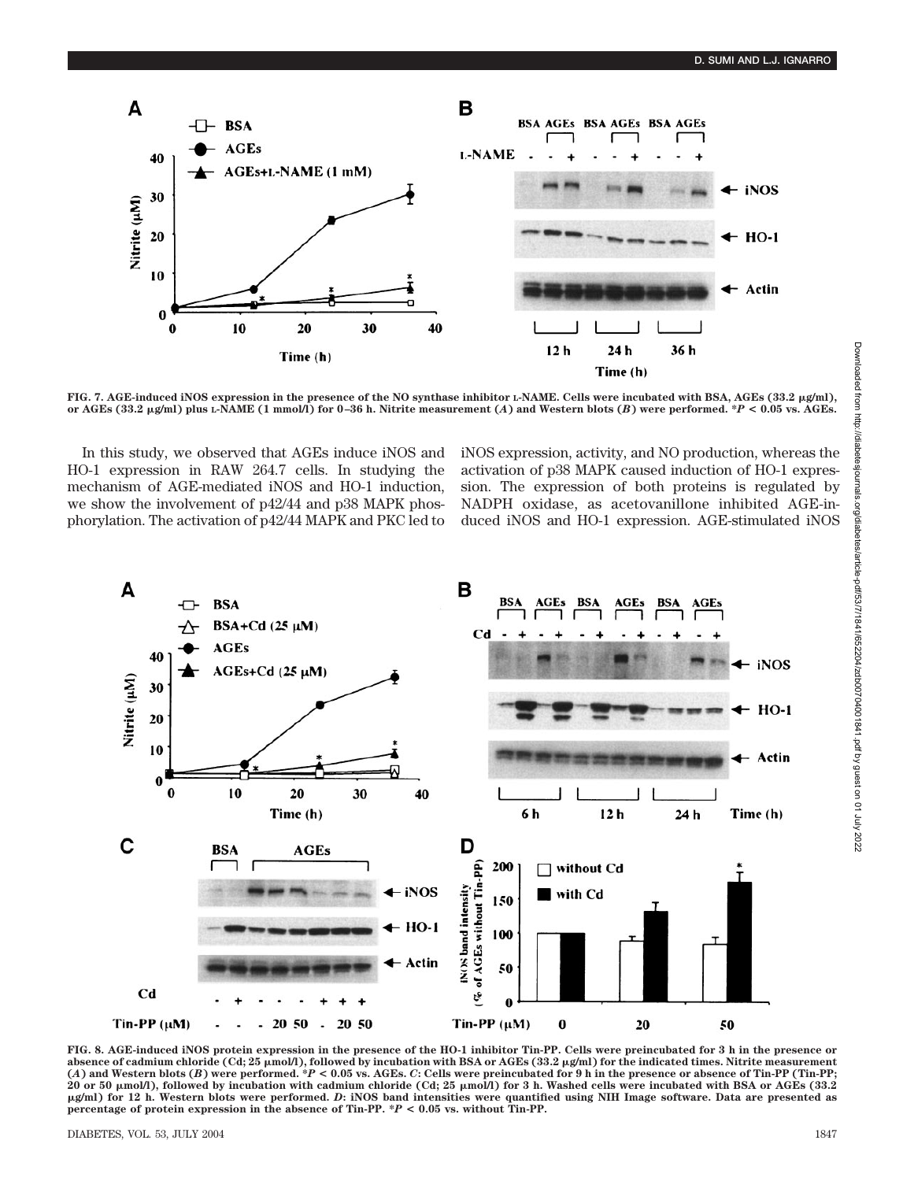

**FIG. 7. AGE-induced iNOS expression in the presence of the NO synthase inhibitor L-NAME. Cells were incubated with BSA, AGEs (33.2 g/ml), or AGEs (33.2 g/ml) plus L-NAME (1 mmol/l) for 0–36 h. Nitrite measurement (***A***) and Western blots (***B***) were performed. \****P* **< 0.05 vs. AGEs.**

In this study, we observed that AGEs induce iNOS and HO-1 expression in RAW 264.7 cells. In studying the mechanism of AGE-mediated iNOS and HO-1 induction, we show the involvement of p42/44 and p38 MAPK phosphorylation. The activation of p42/44 MAPK and PKC led to iNOS expression, activity, and NO production, whereas the activation of p38 MAPK caused induction of HO-1 expression. The expression of both proteins is regulated by NADPH oxidase, as acetovanillone inhibited AGE-induced iNOS and HO-1 expression. AGE-stimulated iNOS



**FIG. 8. AGE-induced iNOS protein expression in the presence of the HO-1 inhibitor Tin-PP. Cells were preincubated for 3 h in the presence or** absence of cadmium chloride (Cd; 25 μmol/l), followed by incubation with BSA or AGEs (33.2 μg/ml) for the indicated times. Nitrite measurement<br>(A) and Western blots (B) were performed. \*P < 0.05 vs. AGEs. C: Cells were pr **20 or 50 mol/l), followed by incubation with cadmium chloride (Cd; 25 mol/l) for 3 h. Washed cells were incubated with BSA or AGEs (33.2 g/ml) for 12 h. Western blots were performed.** *D***: iNOS band intensities were quantified using NIH Image software. Data are presented as percentage of protein expression in the absence of Tin-PP. \****P* **< 0.05 vs. without Tin-PP.**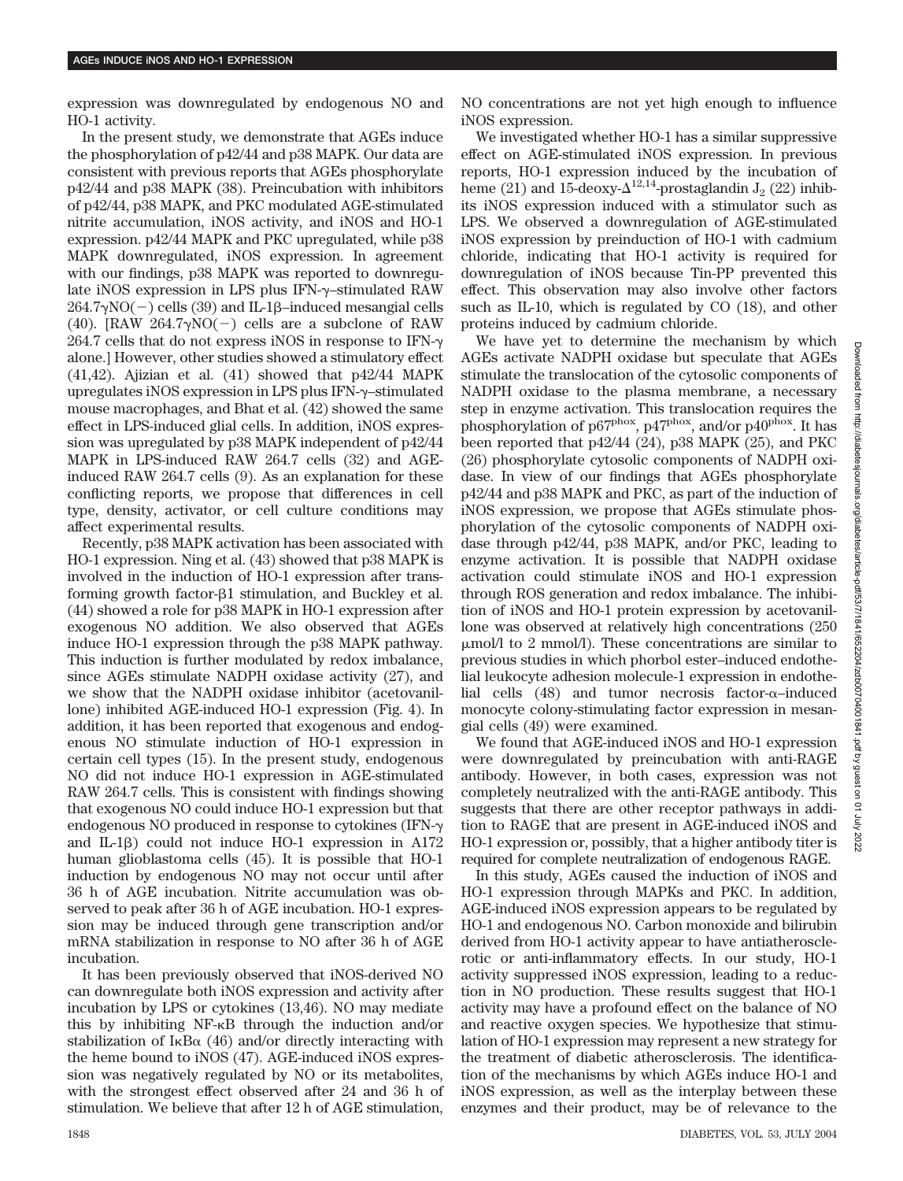expression was downregulated by endogenous NO and HO-1 activity.

In the present study, we demonstrate that AGEs induce the phosphorylation of p42/44 and p38 MAPK. Our data are consistent with previous reports that AGEs phosphorylate p42/44 and p38 MAPK (38). Preincubation with inhibitors of p42/44, p38 MAPK, and PKC modulated AGE-stimulated nitrite accumulation, iNOS activity, and iNOS and HO-1 expression. p42/44 MAPK and PKC upregulated, while p38 MAPK downregulated, iNOS expression. In agreement with our findings, p38 MAPK was reported to downregulate iNOS expression in LPS plus IFN- $\gamma$ -stimulated RAW  $264.7\gamma \rm NO(-)$  cells (39) and IL-1β–induced mesangial cells (40). [RAW 264.7 $\gamma NO(-)$  cells are a subclone of RAW 264.7 cells that do not express iNOS in response to IFN- $\gamma$ alone.] However, other studies showed a stimulatory effect (41,42). Ajizian et al. (41) showed that p42/44 MAPK upregulates iNOS expression in LPS plus  $IFN-\gamma$ -stimulated mouse macrophages, and Bhat et al. (42) showed the same effect in LPS-induced glial cells. In addition, iNOS expression was upregulated by p38 MAPK independent of p42/44 MAPK in LPS-induced RAW 264.7 cells (32) and AGEinduced RAW 264.7 cells (9). As an explanation for these conflicting reports, we propose that differences in cell type, density, activator, or cell culture conditions may affect experimental results.

Recently, p38 MAPK activation has been associated with HO-1 expression. Ning et al. (43) showed that p38 MAPK is involved in the induction of HO-1 expression after transforming growth factor- $\beta$ 1 stimulation, and Buckley et al. (44) showed a role for p38 MAPK in HO-1 expression after exogenous NO addition. We also observed that AGEs induce HO-1 expression through the p38 MAPK pathway. This induction is further modulated by redox imbalance, since AGEs stimulate NADPH oxidase activity (27), and we show that the NADPH oxidase inhibitor (acetovanillone) inhibited AGE-induced HO-1 expression (Fig. 4). In addition, it has been reported that exogenous and endogenous NO stimulate induction of HO-1 expression in certain cell types (15). In the present study, endogenous NO did not induce HO-1 expression in AGE-stimulated RAW 264.7 cells. This is consistent with findings showing that exogenous NO could induce HO-1 expression but that endogenous NO produced in response to cytokines (IFN and IL-1 $\beta$ ) could not induce HO-1 expression in A172 human glioblastoma cells (45). It is possible that HO-1 induction by endogenous NO may not occur until after 36 h of AGE incubation. Nitrite accumulation was observed to peak after 36 h of AGE incubation. HO-1 expression may be induced through gene transcription and/or mRNA stabilization in response to NO after 36 h of AGE incubation.

It has been previously observed that iNOS-derived NO can downregulate both iNOS expression and activity after incubation by LPS or cytokines (13,46). NO may mediate this by inhibiting  $NF-\kappa B$  through the induction and/or stabilization of  $I \kappa B\alpha$  (46) and/or directly interacting with the heme bound to iNOS (47). AGE-induced iNOS expression was negatively regulated by NO or its metabolites, with the strongest effect observed after 24 and 36 h of stimulation. We believe that after 12 h of AGE stimulation,

NO concentrations are not yet high enough to influence iNOS expression.

We investigated whether HO-1 has a similar suppressive effect on AGE-stimulated iNOS expression. In previous reports, HO-1 expression induced by the incubation of heme (21) and 15-deoxy- $\Delta^{12,14}$ -prostaglandin J<sub>2</sub> (22) inhibits iNOS expression induced with a stimulator such as LPS. We observed a downregulation of AGE-stimulated iNOS expression by preinduction of HO-1 with cadmium chloride, indicating that HO-1 activity is required for downregulation of iNOS because Tin-PP prevented this effect. This observation may also involve other factors such as IL-10, which is regulated by CO (18), and other proteins induced by cadmium chloride.

We have yet to determine the mechanism by which AGEs activate NADPH oxidase but speculate that AGEs stimulate the translocation of the cytosolic components of NADPH oxidase to the plasma membrane, a necessary step in enzyme activation. This translocation requires the phosphorylation of p67phox, p47phox, and/or p40phox. It has been reported that p42/44 (24), p38 MAPK (25), and PKC (26) phosphorylate cytosolic components of NADPH oxidase. In view of our findings that AGEs phosphorylate p42/44 and p38 MAPK and PKC, as part of the induction of iNOS expression, we propose that AGEs stimulate phosphorylation of the cytosolic components of NADPH oxidase through p42/44, p38 MAPK, and/or PKC, leading to enzyme activation. It is possible that NADPH oxidase activation could stimulate iNOS and HO-1 expression through ROS generation and redox imbalance. The inhibition of iNOS and HO-1 protein expression by acetovanillone was observed at relatively high concentrations (250  $\mu$ mol/l to 2 mmol/l). These concentrations are similar to previous studies in which phorbol ester–induced endothelial leukocyte adhesion molecule-1 expression in endothelial cells  $(48)$  and tumor necrosis factor- $\alpha$ -induced monocyte colony-stimulating factor expression in mesangial cells (49) were examined.

We found that AGE-induced iNOS and HO-1 expression were downregulated by preincubation with anti-RAGE antibody. However, in both cases, expression was not completely neutralized with the anti-RAGE antibody. This suggests that there are other receptor pathways in addition to RAGE that are present in AGE-induced iNOS and HO-1 expression or, possibly, that a higher antibody titer is required for complete neutralization of endogenous RAGE.

In this study, AGEs caused the induction of iNOS and HO-1 expression through MAPKs and PKC. In addition, AGE-induced iNOS expression appears to be regulated by HO-1 and endogenous NO. Carbon monoxide and bilirubin derived from HO-1 activity appear to have antiatherosclerotic or anti-inflammatory effects. In our study, HO-1 activity suppressed iNOS expression, leading to a reduction in NO production. These results suggest that HO-1 activity may have a profound effect on the balance of NO and reactive oxygen species. We hypothesize that stimulation of HO-1 expression may represent a new strategy for the treatment of diabetic atherosclerosis. The identification of the mechanisms by which AGEs induce HO-1 and iNOS expression, as well as the interplay between these enzymes and their product, may be of relevance to the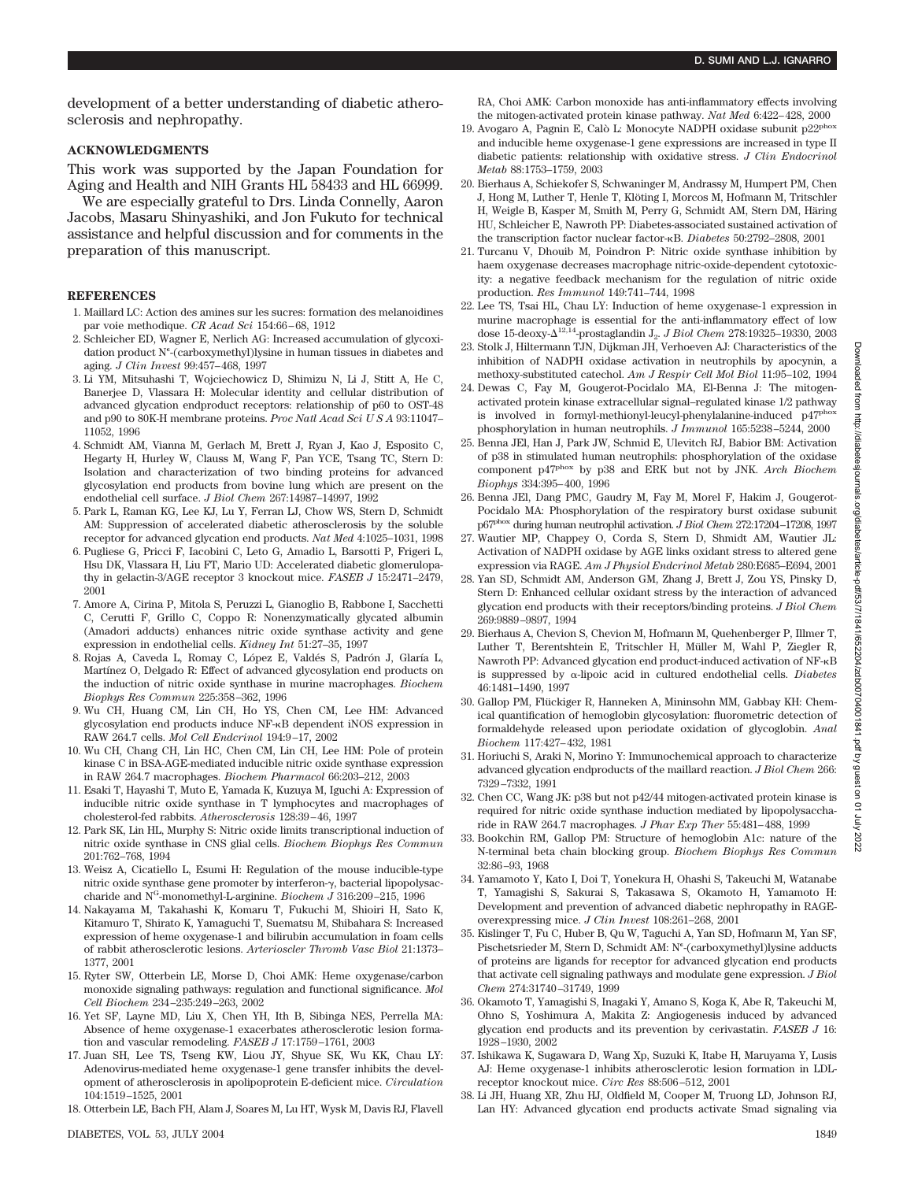development of a better understanding of diabetic atherosclerosis and nephropathy.

## **ACKNOWLEDGMENTS**

This work was supported by the Japan Foundation for Aging and Health and NIH Grants HL 58433 and HL 66999.

We are especially grateful to Drs. Linda Connelly, Aaron Jacobs, Masaru Shinyashiki, and Jon Fukuto for technical assistance and helpful discussion and for comments in the preparation of this manuscript.

#### **REFERENCES**

- 1. Maillard LC: Action des amines sur les sucres: formation des melanoidines par voie methodique. *CR Acad Sci* 154:66–68, 1912
- 2. Schleicher ED, Wagner E, Nerlich AG: Increased accumulation of glycoxidation product N<sup>e</sup>-(carboxymethyl)lysine in human tissues in diabetes and aging. *J Clin Invest* 99:457–468, 1997
- 3. Li YM, Mitsuhashi T, Wojciechowicz D, Shimizu N, Li J, Stitt A, He C, Banerjee D, Vlassara H: Molecular identity and cellular distribution of advanced glycation endproduct receptors: relationship of p60 to OST-48 and p90 to 80K-H membrane proteins. *Proc Natl Acad SciUSA* 93:11047– 11052, 1996
- 4. Schmidt AM, Vianna M, Gerlach M, Brett J, Ryan J, Kao J, Esposito C, Hegarty H, Hurley W, Clauss M, Wang F, Pan YCE, Tsang TC, Stern D: Isolation and characterization of two binding proteins for advanced glycosylation end products from bovine lung which are present on the endothelial cell surface. *J Biol Chem* 267:14987–14997, 1992
- 5. Park L, Raman KG, Lee KJ, Lu Y, Ferran LJ, Chow WS, Stern D, Schmidt AM: Suppression of accelerated diabetic atherosclerosis by the soluble receptor for advanced glycation end products. *Nat Med* 4:1025–1031, 1998
- 6. Pugliese G, Pricci F, Iacobini C, Leto G, Amadio L, Barsotti P, Frigeri L, Hsu DK, Vlassara H, Liu FT, Mario UD: Accelerated diabetic glomerulopathy in gelactin-3/AGE receptor 3 knockout mice. *FASEB J* 15:2471–2479, 2001
- 7. Amore A, Cirina P, Mitola S, Peruzzi L, Gianoglio B, Rabbone I, Sacchetti C, Cerutti F, Grillo C, Coppo R: Nonenzymatically glycated albumin (Amadori adducts) enhances nitric oxide synthase activity and gene expression in endothelial cells. *Kidney Int* 51:27–35, 1997
- 8. Rojas A, Caveda L, Romay C, López E, Valdés S, Padrón J, Glaría L, Martínez O, Delgado R: Effect of advanced glycosylation end products on the induction of nitric oxide synthase in murine macrophages. *Biochem Biophys Res Commun* 225:358–362, 1996
- 9. Wu CH, Huang CM, Lin CH, Ho YS, Chen CM, Lee HM: Advanced glycosylation end products induce NF-B dependent iNOS expression in RAW 264.7 cells. *Mol Cell Endcrinol* 194:9–17, 2002
- 10. Wu CH, Chang CH, Lin HC, Chen CM, Lin CH, Lee HM: Pole of protein kinase C in BSA-AGE-mediated inducible nitric oxide synthase expression in RAW 264.7 macrophages. *Biochem Pharmacol* 66:203–212, 2003
- 11. Esaki T, Hayashi T, Muto E, Yamada K, Kuzuya M, Iguchi A: Expression of inducible nitric oxide synthase in T lymphocytes and macrophages of cholesterol-fed rabbits. *Atherosclerosis* 128:39–46, 1997
- 12. Park SK, Lin HL, Murphy S: Nitric oxide limits transcriptional induction of nitric oxide synthase in CNS glial cells. *Biochem Biophys Res Commun* 201:762–768, 1994
- 13. Weisz A, Cicatiello L, Esumi H: Regulation of the mouse inducible-type nitric oxide synthase gene promoter by interferon- $\gamma$ , bacterial lipopolysaccharide and NG-monomethyl-L-arginine. *Biochem J* 316:209–215, 1996
- 14. Nakayama M, Takahashi K, Komaru T, Fukuchi M, Shioiri H, Sato K, Kitamuro T, Shirato K, Yamaguchi T, Suematsu M, Shibahara S: Increased expression of heme oxygenase-1 and bilirubin accumulation in foam cells of rabbit atherosclerotic lesions. *Arterioscler Thromb Vasc Biol* 21:1373– 1377, 2001
- 15. Ryter SW, Otterbein LE, Morse D, Choi AMK: Heme oxygenase/carbon monoxide signaling pathways: regulation and functional significance. *Mol Cell Biochem* 234–235:249–263, 2002
- 16. Yet SF, Layne MD, Liu X, Chen YH, Ith B, Sibinga NES, Perrella MA: Absence of heme oxygenase-1 exacerbates atherosclerotic lesion formation and vascular remodeling. *FASEB J* 17:1759–1761, 2003
- 17. Juan SH, Lee TS, Tseng KW, Liou JY, Shyue SK, Wu KK, Chau LY: Adenovirus-mediated heme oxygenase-1 gene transfer inhibits the development of atherosclerosis in apolipoprotein E-deficient mice. *Circulation* 104:1519–1525, 2001
- 18. Otterbein LE, Bach FH, Alam J, Soares M, Lu HT, Wysk M, Davis RJ, Flavell

RA, Choi AMK: Carbon monoxide has anti-inflammatory effects involving the mitogen-activated protein kinase pathway. *Nat Med* 6:422–428, 2000

- 19. Avogaro A, Pagnin E, Calo` L: Monocyte NADPH oxidase subunit p22phox and inducible heme oxygenase-1 gene expressions are increased in type II diabetic patients: relationship with oxidative stress. *J Clin Endocrinol Metab* 88:1753–1759, 2003
- 20. Bierhaus A, Schiekofer S, Schwaninger M, Andrassy M, Humpert PM, Chen J, Hong M, Luther T, Henle T, Klöting I, Morcos M, Hofmann M, Tritschler H, Weigle B, Kasper M, Smith M, Perry G, Schmidt AM, Stern DM, Häring HU, Schleicher E, Nawroth PP: Diabetes-associated sustained activation of the transcription factor nuclear factor- $\kappa$ B. *Diabetes* 50:2792–2808, 2001
- 21. Turcanu V, Dhouib M, Poindron P: Nitric oxide synthase inhibition by haem oxygenase decreases macrophage nitric-oxide-dependent cytotoxicity: a negative feedback mechanism for the regulation of nitric oxide production. *Res Immunol* 149:741–744, 1998
- 22. Lee TS, Tsai HL, Chau LY: Induction of heme oxygenase-1 expression in murine macrophage is essential for the anti-inflammatory effect of low dose 15-deoxy-12,14-prostaglandin J2. *J Biol Chem* 278:19325–19330, 2003
- 23. Stolk J, Hiltermann TJN, Dijkman JH, Verhoeven AJ: Characteristics of the inhibition of NADPH oxidase activation in neutrophils by apocynin, a methoxy-substituted catechol. *Am J Respir Cell Mol Biol* 11:95–102, 1994
- 24. Dewas C, Fay M, Gougerot-Pocidalo MA, El-Benna J: The mitogenactivated protein kinase extracellular signal–regulated kinase 1/2 pathway is involved in formyl-methionyl-leucyl-phenylalanine-induced  $p47<sup>phc</sup>$ phosphorylation in human neutrophils. *J Immunol* 165:5238–5244, 2000
- 25. Benna JEl, Han J, Park JW, Schmid E, Ulevitch RJ, Babior BM: Activation of p38 in stimulated human neutrophils: phosphorylation of the oxidase component p47phox by p38 and ERK but not by JNK. *Arch Biochem Biophys* 334:395–400, 1996
- 26. Benna JEl, Dang PMC, Gaudry M, Fay M, Morel F, Hakim J, Gougerot-Pocidalo MA: Phosphorylation of the respiratory burst oxidase subunit p67phox during human neutrophil activation. *J Biol Chem* 272:17204–17208, 1997
- 27. Wautier MP, Chappey O, Corda S, Stern D, Shmidt AM, Wautier JL: Activation of NADPH oxidase by AGE links oxidant stress to altered gene expression via RAGE. *Am J Physiol Endcrinol Metab* 280:E685–E694, 2001
- 28. Yan SD, Schmidt AM, Anderson GM, Zhang J, Brett J, Zou YS, Pinsky D, Stern D: Enhanced cellular oxidant stress by the interaction of advanced glycation end products with their receptors/binding proteins. *J Biol Chem* 269:9889–9897, 1994
- 29. Bierhaus A, Chevion S, Chevion M, Hofmann M, Quehenberger P, Illmer T, Luther T, Berentshtein E, Tritschler H, Müller M, Wahl P, Ziegler R, Nawroth PP: Advanced glycation end product-induced activation of NF-KB is suppressed by  $\alpha$ -lipoic acid in cultured endothelial cells. *Diabetes* 46:1481–1490, 1997
- 30. Gallop PM, Flückiger R, Hanneken A, Mininsohn MM, Gabbay KH: Chemical quantification of hemoglobin glycosylation: fluorometric detection of formaldehyde released upon periodate oxidation of glycoglobin. *Anal Biochem* 117:427–432, 1981
- 31. Horiuchi S, Araki N, Morino Y: Immunochemical approach to characterize advanced glycation endproducts of the maillard reaction. *J Biol Chem* 266: 7329–7332, 1991
- 32. Chen CC, Wang JK: p38 but not p42/44 mitogen-activated protein kinase is required for nitric oxide synthase induction mediated by lipopolysaccharide in RAW 264.7 macrophages. *J Phar Exp Ther* 55:481–488, 1999
- 33. Bookchin RM, Gallop PM: Structure of hemoglobin A1c: nature of the N-terminal beta chain blocking group. *Biochem Biophys Res Commun* 32:86–93, 1968
- 34. Yamamoto Y, Kato I, Doi T, Yonekura H, Ohashi S, Takeuchi M, Watanabe T, Yamagishi S, Sakurai S, Takasawa S, Okamoto H, Yamamoto H: Development and prevention of advanced diabetic nephropathy in RAGEoverexpressing mice. *J Clin Invest* 108:261–268, 2001
- 35. Kislinger T, Fu C, Huber B, Qu W, Taguchi A, Yan SD, Hofmann M, Yan SF, Pischetsrieder M, Stern D, Schmidt AM: N<sup>e</sup>-(carboxymethyl)lysine adducts of proteins are ligands for receptor for advanced glycation end products that activate cell signaling pathways and modulate gene expression. *J Biol Chem* 274:31740–31749, 1999
- 36. Okamoto T, Yamagishi S, Inagaki Y, Amano S, Koga K, Abe R, Takeuchi M, Ohno S, Yoshimura A, Makita Z: Angiogenesis induced by advanced glycation end products and its prevention by cerivastatin. *FASEB J* 16: 1928–1930, 2002
- 37. Ishikawa K, Sugawara D, Wang Xp, Suzuki K, Itabe H, Maruyama Y, Lusis AJ: Heme oxygenase-1 inhibits atherosclerotic lesion formation in LDLreceptor knockout mice. *Circ Res* 88:506–512, 2001
- 38. Li JH, Huang XR, Zhu HJ, Oldfield M, Cooper M, Truong LD, Johnson RJ, Lan HY: Advanced glycation end products activate Smad signaling via